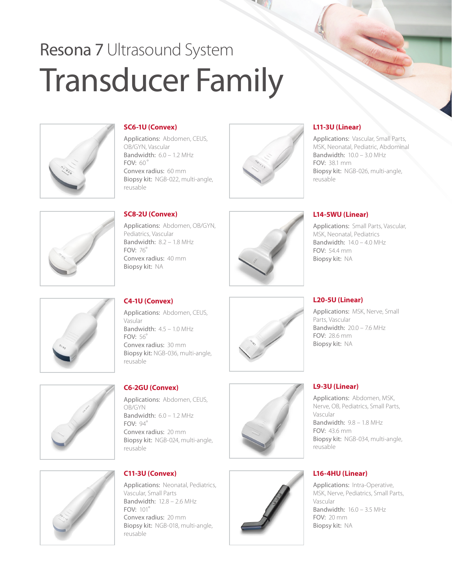# Resona 7 Ultrasound System Transducer Family



#### **SC6-1U (Convex)**

Applications: Abdomen, CEUS, OB/GYN, Vascular Bandwidth:  $6.0 - 1.2$  MHz  $F\Omega V$ <sup>c</sup>  $60^\circ$ Convex radius: 60 mm Biopsy kit: NGB-022, multi-angle, reusable

#### **SC8-2U (Convex)**

Applications: Abdomen, OB/GYN, Pediatrics, Vascular Bandwidth: 8.2 – 1.8 MHz FOV: 76° Convex radius: 40 mm Biopsy kit: NA

Applications: Abdomen, CEUS, Vasular Bandwidth: 4.5 – 1.0 MHz FOV: 56° Convex radius: 30 mm Biopsy kit: NGB-036, multi-angle, reusable

# **C6-2GU (Convex)**

Applications: Abdomen, CEUS, OB/GYN Bandwidth:  $6.0 - 1.2$  MHz FOV: 94° Convex radius: 20 mm Biopsy kit: NGB-024, multi-angle, reusable



### **C11-3U (Convex)**

Applications: Neonatal, Pediatrics, Vascular, Small Parts Bandwidth: 12.8 – 2.6 MHz FOV: 101° Convex radius: 20 mm Biopsy kit: NGB-018, multi-angle, reusable





## **L11-3U (Linear)**

Applications: Vascular, Small Parts, MSK, Neonatal, Pediatric, Abdominal Bandwidth: 10.0 – 3.0 MHz FOV: 38.1 mm Biopsy kit: NGB-026, multi-angle, reusable

#### **L14-5WU (Linear)**

Applications: Small Parts, Vascular, MSK, Neonatal, Pediatrics Bandwidth:  $14.0 - 4.0$  MHz  $FOV: 544 mm$ Biopsy kit: NA



### **L20-5U (Linear)**

Applications: MSK, Nerve, Small Parts, Vascular Bandwidth: 20.0 – 7.6 MHz FOV: 28.6 mm Biopsy kit: NA





#### **L9-3U (Linear)**

Applications: Abdomen, MSK, Nerve, OB, Pediatrics, Small Parts, Vascular Bandwidth: 9.8 – 1.8 MHz FOV: 43.6 mm Biopsy kit: NGB-034, multi-angle, reusable

### **L16-4HU (Linear)**

Applications: Intra-Operative, MSK, Nerve, Pediatrics, Small Parts, Vascular Bandwidth: 16.0 – 3.5 MHz FOV: 20 mm Biopsy kit: NA